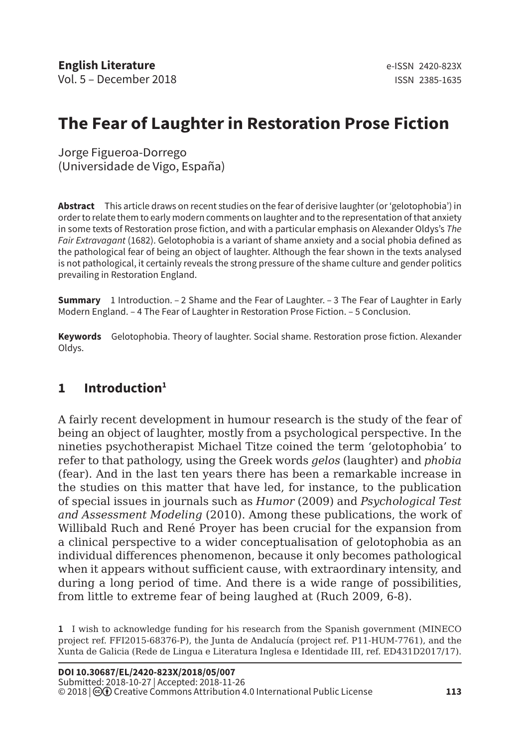# **The Fear of Laughter in Restoration Prose Fiction**

Jorge Figueroa-Dorrego (Universidade de Vigo, España)

**Abstract** This article draws on recent studies on the fear of derisive laughter (or 'gelotophobia') in order to relate them to early modern comments on laughter and to the representation of that anxiety in some texts of Restoration prose fiction, and with a particular emphasis on Alexander Oldys's *The Fair Extravagant* (1682). Gelotophobia is a variant of shame anxiety and a social phobia defined as the pathological fear of being an object of laughter. Although the fear shown in the texts analysed is not pathological, it certainly reveals the strong pressure of the shame culture and gender politics prevailing in Restoration England.

**Summary** 1 Introduction. – 2 Shame and the Fear of Laughter. – 3 The Fear of Laughter in Early Modern England. – 4 The Fear of Laughter in Restoration Prose Fiction. – 5 Conclusion.

**Keywords** Gelotophobia. Theory of laughter. Social shame. Restoration prose fiction. Alexander Oldys.

#### **1 Introduction1**

A fairly recent development in humour research is the study of the fear of being an object of laughter, mostly from a psychological perspective. In the nineties psychotherapist Michael Titze coined the term 'gelotophobia' to refer to that pathology, using the Greek words *gelos* (laughter) and *phobia* (fear). And in the last ten years there has been a remarkable increase in the studies on this matter that have led, for instance, to the publication of special issues in journals such as *Humor* (2009) and *Psychological Test and Assessment Modeling* (2010). Among these publications, the work of Willibald Ruch and René Proyer has been crucial for the expansion from a clinical perspective to a wider conceptualisation of gelotophobia as an individual differences phenomenon, because it only becomes pathological when it appears without sufficient cause, with extraordinary intensity, and during a long period of time. And there is a wide range of possibilities, from little to extreme fear of being laughed at (Ruch 2009, 6-8).

**1** I wish to acknowledge funding for his research from the Spanish government (MINECO project ref. FFI2015-68376-P), the Junta de Andalucía (project ref. P11-HUM-7761), and the Xunta de Galicia (Rede de Lingua e Literatura Inglesa e Identidade III, ref. ED431D2017/17).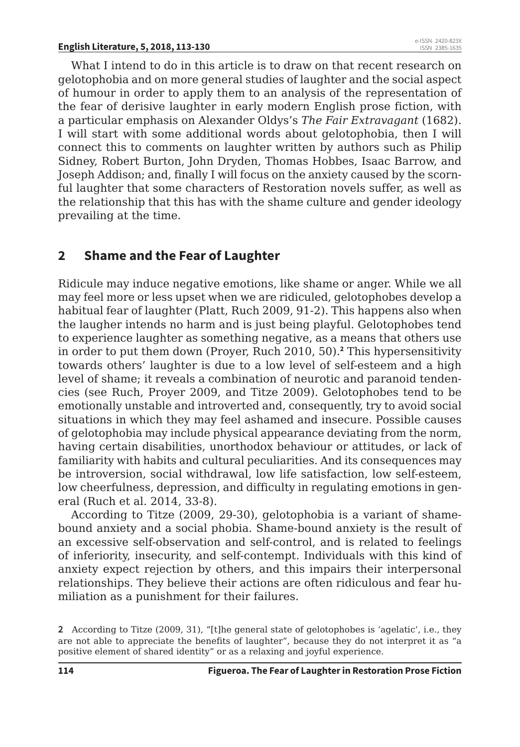What I intend to do in this article is to draw on that recent research on gelotophobia and on more general studies of laughter and the social aspect of humour in order to apply them to an analysis of the representation of the fear of derisive laughter in early modern English prose fiction, with a particular emphasis on Alexander Oldys's *The Fair Extravagant* (1682). I will start with some additional words about gelotophobia, then I will connect this to comments on laughter written by authors such as Philip Sidney, Robert Burton, John Dryden, Thomas Hobbes, Isaac Barrow, and Joseph Addison; and, finally I will focus on the anxiety caused by the scornful laughter that some characters of Restoration novels suffer, as well as the relationship that this has with the shame culture and gender ideology prevailing at the time.

### **2 Shame and the Fear of Laughter**

Ridicule may induce negative emotions, like shame or anger. While we all may feel more or less upset when we are ridiculed, gelotophobes develop a habitual fear of laughter (Platt, Ruch 2009, 91-2). This happens also when the laugher intends no harm and is just being playful. Gelotophobes tend to experience laughter as something negative, as a means that others use in order to put them down (Proyer, Ruch 2010, 50).**<sup>2</sup>** This hypersensitivity towards others' laughter is due to a low level of self-esteem and a high level of shame; it reveals a combination of neurotic and paranoid tendencies (see Ruch, Proyer 2009, and Titze 2009). Gelotophobes tend to be emotionally unstable and introverted and, consequently, try to avoid social situations in which they may feel ashamed and insecure. Possible causes of gelotophobia may include physical appearance deviating from the norm, having certain disabilities, unorthodox behaviour or attitudes, or lack of familiarity with habits and cultural peculiarities. And its consequences may be introversion, social withdrawal, low life satisfaction, low self-esteem, low cheerfulness, depression, and difficulty in regulating emotions in general (Ruch et al. 2014, 33-8).

According to Titze (2009, 29-30), gelotophobia is a variant of shamebound anxiety and a social phobia. Shame-bound anxiety is the result of an excessive self-observation and self-control, and is related to feelings of inferiority, insecurity, and self-contempt. Individuals with this kind of anxiety expect rejection by others, and this impairs their interpersonal relationships. They believe their actions are often ridiculous and fear humiliation as a punishment for their failures.

**<sup>2</sup>** According to Titze (2009, 31), "[t]he general state of gelotophobes is 'agelatic', i.e., they are not able to appreciate the benefits of laughter", because they do not interpret it as "a positive element of shared identity" or as a relaxing and joyful experience.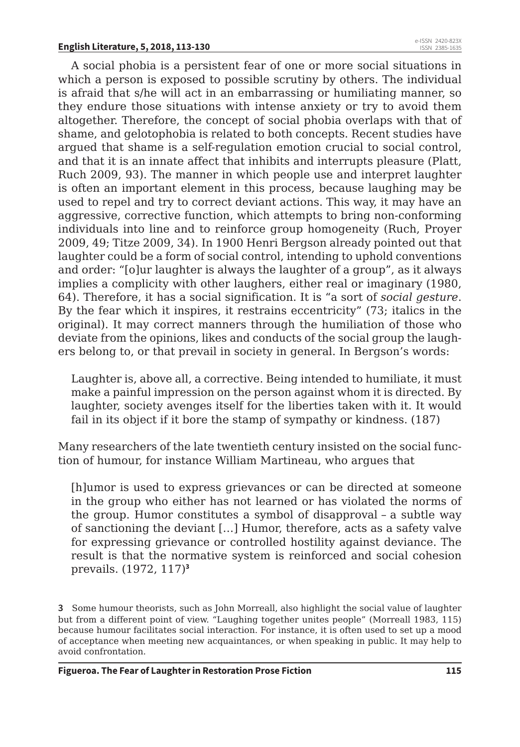A social phobia is a persistent fear of one or more social situations in which a person is exposed to possible scrutiny by others. The individual is afraid that s/he will act in an embarrassing or humiliating manner, so they endure those situations with intense anxiety or try to avoid them altogether. Therefore, the concept of social phobia overlaps with that of shame, and gelotophobia is related to both concepts. Recent studies have argued that shame is a self-regulation emotion crucial to social control, and that it is an innate affect that inhibits and interrupts pleasure (Platt, Ruch 2009, 93). The manner in which people use and interpret laughter is often an important element in this process, because laughing may be used to repel and try to correct deviant actions. This way, it may have an aggressive, corrective function, which attempts to bring non-conforming individuals into line and to reinforce group homogeneity (Ruch, Proyer 2009, 49; Titze 2009, 34). In 1900 Henri Bergson already pointed out that laughter could be a form of social control, intending to uphold conventions and order: "[o]ur laughter is always the laughter of a group", as it always implies a complicity with other laughers, either real or imaginary (1980, 64). Therefore, it has a social signification. It is "a sort of *social gesture*. By the fear which it inspires, it restrains eccentricity" (73; italics in the original). It may correct manners through the humiliation of those who deviate from the opinions, likes and conducts of the social group the laughers belong to, or that prevail in society in general. In Bergson's words:

Laughter is, above all, a corrective. Being intended to humiliate, it must make a painful impression on the person against whom it is directed. By laughter, society avenges itself for the liberties taken with it. It would fail in its object if it bore the stamp of sympathy or kindness. (187)

Many researchers of the late twentieth century insisted on the social function of humour, for instance William Martineau, who argues that

[h]umor is used to express grievances or can be directed at someone in the group who either has not learned or has violated the norms of the group. Humor constitutes a symbol of disapproval – a subtle way of sanctioning the deviant […] Humor, therefore, acts as a safety valve for expressing grievance or controlled hostility against deviance. The result is that the normative system is reinforced and social cohesion prevails. (1972, 117)**<sup>3</sup>**

**<sup>3</sup>** Some humour theorists, such as John Morreall, also highlight the social value of laughter but from a different point of view. "Laughing together unites people" (Morreall 1983, 115) because humour facilitates social interaction. For instance, it is often used to set up a mood of acceptance when meeting new acquaintances, or when speaking in public. It may help to avoid confrontation.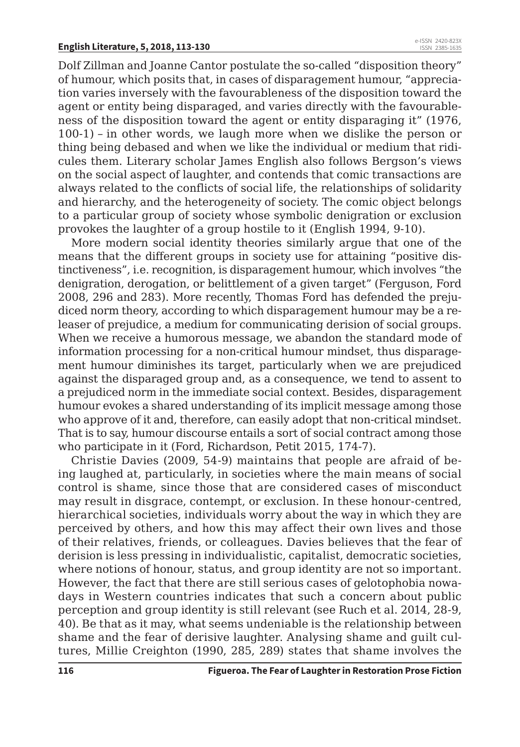Dolf Zillman and Joanne Cantor postulate the so-called "disposition theory" of humour, which posits that, in cases of disparagement humour, "appreciation varies inversely with the favourableness of the disposition toward the agent or entity being disparaged, and varies directly with the favourableness of the disposition toward the agent or entity disparaging it" (1976, 100-1) – in other words, we laugh more when we dislike the person or thing being debased and when we like the individual or medium that ridicules them. Literary scholar James English also follows Bergson's views on the social aspect of laughter, and contends that comic transactions are always related to the conflicts of social life, the relationships of solidarity and hierarchy, and the heterogeneity of society. The comic object belongs to a particular group of society whose symbolic denigration or exclusion provokes the laughter of a group hostile to it (English 1994, 9-10).

More modern social identity theories similarly argue that one of the means that the different groups in society use for attaining "positive distinctiveness", i.e. recognition, is disparagement humour, which involves "the denigration, derogation, or belittlement of a given target" (Ferguson, Ford 2008, 296 and 283). More recently, Thomas Ford has defended the prejudiced norm theory, according to which disparagement humour may be a releaser of prejudice, a medium for communicating derision of social groups. When we receive a humorous message, we abandon the standard mode of information processing for a non-critical humour mindset, thus disparagement humour diminishes its target, particularly when we are prejudiced against the disparaged group and, as a consequence, we tend to assent to a prejudiced norm in the immediate social context. Besides, disparagement humour evokes a shared understanding of its implicit message among those who approve of it and, therefore, can easily adopt that non-critical mindset. That is to say, humour discourse entails a sort of social contract among those who participate in it (Ford, Richardson, Petit 2015, 174-7).

Christie Davies (2009, 54-9) maintains that people are afraid of being laughed at, particularly, in societies where the main means of social control is shame, since those that are considered cases of misconduct may result in disgrace, contempt, or exclusion. In these honour-centred, hierarchical societies, individuals worry about the way in which they are perceived by others, and how this may affect their own lives and those of their relatives, friends, or colleagues. Davies believes that the fear of derision is less pressing in individualistic, capitalist, democratic societies, where notions of honour, status, and group identity are not so important. However, the fact that there are still serious cases of gelotophobia nowadays in Western countries indicates that such a concern about public perception and group identity is still relevant (see Ruch et al. 2014, 28-9, 40). Be that as it may, what seems undeniable is the relationship between shame and the fear of derisive laughter. Analysing shame and guilt cultures, Millie Creighton (1990, 285, 289) states that shame involves the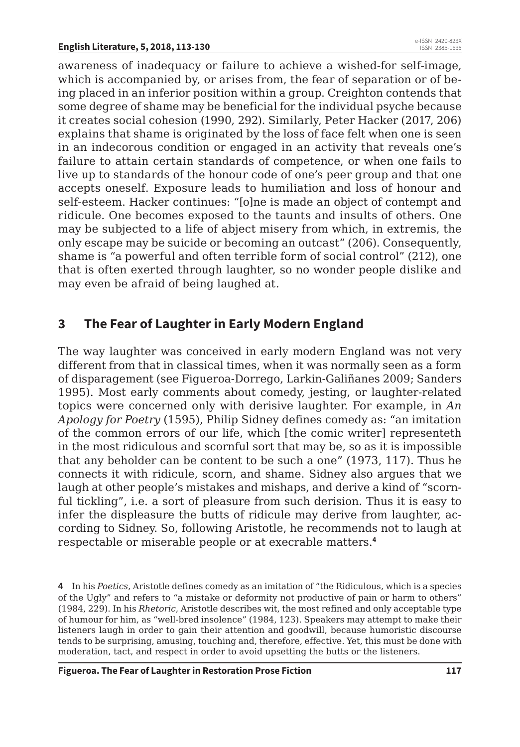awareness of inadequacy or failure to achieve a wished-for self-image, which is accompanied by, or arises from, the fear of separation or of being placed in an inferior position within a group. Creighton contends that some degree of shame may be beneficial for the individual psyche because it creates social cohesion (1990, 292). Similarly, Peter Hacker (2017, 206) explains that shame is originated by the loss of face felt when one is seen in an indecorous condition or engaged in an activity that reveals one's failure to attain certain standards of competence, or when one fails to live up to standards of the honour code of one's peer group and that one accepts oneself. Exposure leads to humiliation and loss of honour and self-esteem. Hacker continues: "[o]ne is made an object of contempt and ridicule. One becomes exposed to the taunts and insults of others. One may be subjected to a life of abject misery from which, in extremis, the only escape may be suicide or becoming an outcast" (206). Consequently, shame is "a powerful and often terrible form of social control" (212), one that is often exerted through laughter, so no wonder people dislike and may even be afraid of being laughed at.

#### **3 The Fear of Laughter in Early Modern England**

The way laughter was conceived in early modern England was not very different from that in classical times, when it was normally seen as a form of disparagement (see Figueroa-Dorrego, Larkin-Galiñanes 2009; Sanders 1995). Most early comments about comedy, jesting, or laughter-related topics were concerned only with derisive laughter. For example, in *An Apology for Poetry* (1595), Philip Sidney defines comedy as: "an imitation of the common errors of our life, which [the comic writer] representeth in the most ridiculous and scornful sort that may be, so as it is impossible that any beholder can be content to be such a one" (1973, 117). Thus he connects it with ridicule, scorn, and shame. Sidney also argues that we laugh at other people's mistakes and mishaps, and derive a kind of "scornful tickling", i.e. a sort of pleasure from such derision. Thus it is easy to infer the displeasure the butts of ridicule may derive from laughter, according to Sidney. So, following Aristotle, he recommends not to laugh at respectable or miserable people or at execrable matters.**<sup>4</sup>**

**4** In his *Poetics*, Aristotle defines comedy as an imitation of "the Ridiculous, which is a species of the Ugly" and refers to "a mistake or deformity not productive of pain or harm to others" (1984, 229). In his *Rhetoric*, Aristotle describes wit, the most refined and only acceptable type of humour for him, as "well-bred insolence" (1984, 123). Speakers may attempt to make their listeners laugh in order to gain their attention and goodwill, because humoristic discourse tends to be surprising, amusing, touching and, therefore, effective. Yet, this must be done with moderation, tact, and respect in order to avoid upsetting the butts or the listeners.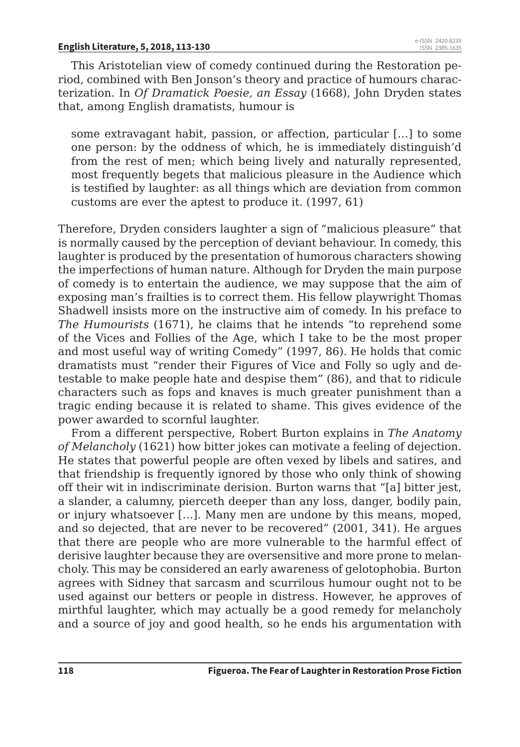This Aristotelian view of comedy continued during the Restoration period, combined with Ben Jonson's theory and practice of humours characterization. In *Of Dramatick Poesie, an Essay* (1668), John Dryden states that, among English dramatists, humour is

some extravagant habit, passion, or affection, particular […] to some one person: by the oddness of which, he is immediately distinguish'd from the rest of men; which being lively and naturally represented, most frequently begets that malicious pleasure in the Audience which is testified by laughter: as all things which are deviation from common customs are ever the aptest to produce it. (1997, 61)

Therefore, Dryden considers laughter a sign of "malicious pleasure" that is normally caused by the perception of deviant behaviour. In comedy, this laughter is produced by the presentation of humorous characters showing the imperfections of human nature. Although for Dryden the main purpose of comedy is to entertain the audience, we may suppose that the aim of exposing man's frailties is to correct them. His fellow playwright Thomas Shadwell insists more on the instructive aim of comedy. In his preface to *The Humourists* (1671), he claims that he intends "to reprehend some of the Vices and Follies of the Age, which I take to be the most proper and most useful way of writing Comedy" (1997, 86). He holds that comic dramatists must "render their Figures of Vice and Folly so ugly and detestable to make people hate and despise them" (86), and that to ridicule characters such as fops and knaves is much greater punishment than a tragic ending because it is related to shame. This gives evidence of the power awarded to scornful laughter.

From a different perspective, Robert Burton explains in *The Anatomy of Melancholy* (1621) how bitter jokes can motivate a feeling of dejection. He states that powerful people are often vexed by libels and satires, and that friendship is frequently ignored by those who only think of showing off their wit in indiscriminate derision. Burton warns that "[a] bitter jest, a slander, a calumny, pierceth deeper than any loss, danger, bodily pain, or injury whatsoever […]. Many men are undone by this means, moped, and so dejected, that are never to be recovered" (2001, 341). He argues that there are people who are more vulnerable to the harmful effect of derisive laughter because they are oversensitive and more prone to melancholy. This may be considered an early awareness of gelotophobia. Burton agrees with Sidney that sarcasm and scurrilous humour ought not to be used against our betters or people in distress. However, he approves of mirthful laughter, which may actually be a good remedy for melancholy and a source of joy and good health, so he ends his argumentation with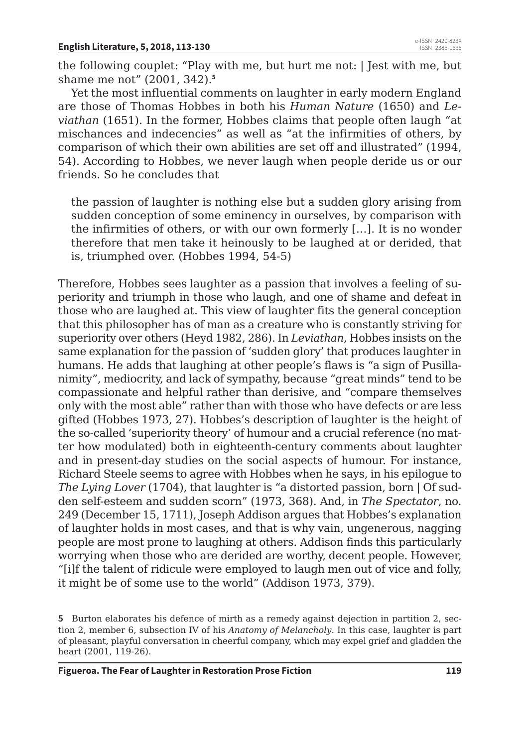the following couplet: "Play with me, but hurt me not: | Jest with me, but shame me not" (2001, 342).**<sup>5</sup>**

Yet the most influential comments on laughter in early modern England are those of Thomas Hobbes in both his *Human Nature* (1650) and *Leviathan* (1651). In the former, Hobbes claims that people often laugh "at mischances and indecencies" as well as "at the infirmities of others, by comparison of which their own abilities are set off and illustrated" (1994, 54). According to Hobbes, we never laugh when people deride us or our friends. So he concludes that

the passion of laughter is nothing else but a sudden glory arising from sudden conception of some eminency in ourselves, by comparison with the infirmities of others, or with our own formerly […]. It is no wonder therefore that men take it heinously to be laughed at or derided, that is, triumphed over. (Hobbes 1994, 54-5)

Therefore, Hobbes sees laughter as a passion that involves a feeling of superiority and triumph in those who laugh, and one of shame and defeat in those who are laughed at. This view of laughter fits the general conception that this philosopher has of man as a creature who is constantly striving for superiority over others (Heyd 1982, 286). In *Leviathan*, Hobbes insists on the same explanation for the passion of 'sudden glory' that produces laughter in humans. He adds that laughing at other people's flaws is "a sign of Pusillanimity", mediocrity, and lack of sympathy, because "great minds" tend to be compassionate and helpful rather than derisive, and "compare themselves only with the most able" rather than with those who have defects or are less gifted (Hobbes 1973, 27). Hobbes's description of laughter is the height of the so-called 'superiority theory' of humour and a crucial reference (no matter how modulated) both in eighteenth-century comments about laughter and in present-day studies on the social aspects of humour. For instance, Richard Steele seems to agree with Hobbes when he says, in his epilogue to *The Lying Lover* (1704), that laughter is "a distorted passion, born | Of sudden self-esteem and sudden scorn" (1973, 368). And, in *The Spectator*, no. 249 (December 15, 1711), Joseph Addison argues that Hobbes's explanation of laughter holds in most cases, and that is why vain, ungenerous, nagging people are most prone to laughing at others. Addison finds this particularly worrying when those who are derided are worthy, decent people. However, "[i]f the talent of ridicule were employed to laugh men out of vice and folly, it might be of some use to the world" (Addison 1973, 379).

**<sup>5</sup>** Burton elaborates his defence of mirth as a remedy against dejection in partition 2, section 2, member 6, subsection IV of his *Anatomy of Melancholy*. In this case, laughter is part of pleasant, playful conversation in cheerful company, which may expel grief and gladden the heart (2001, 119-26).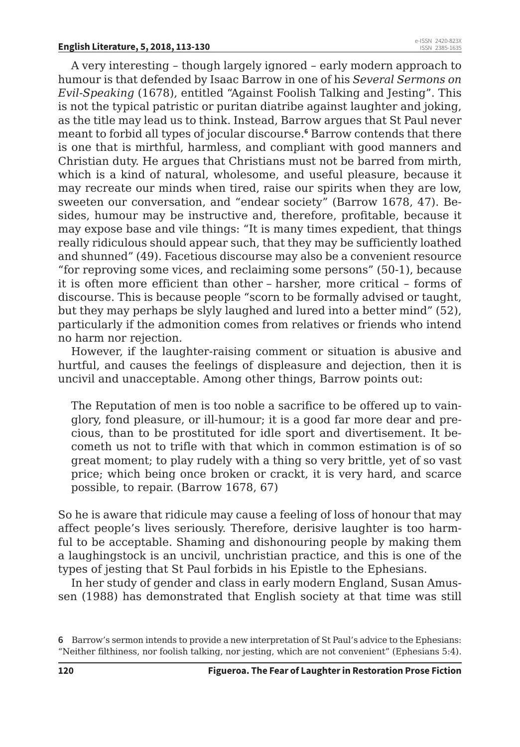A very interesting – though largely ignored – early modern approach to humour is that defended by Isaac Barrow in one of his *Several Sermons on Evil-Speaking* (1678), entitled "Against Foolish Talking and Jesting". This is not the typical patristic or puritan diatribe against laughter and joking, as the title may lead us to think. Instead, Barrow argues that St Paul never meant to forbid all types of jocular discourse.**<sup>6</sup>** Barrow contends that there is one that is mirthful, harmless, and compliant with good manners and Christian duty. He argues that Christians must not be barred from mirth, which is a kind of natural, wholesome, and useful pleasure, because it may recreate our minds when tired, raise our spirits when they are low, sweeten our conversation, and "endear society" (Barrow 1678, 47). Besides, humour may be instructive and, therefore, profitable, because it may expose base and vile things: "It is many times expedient, that things really ridiculous should appear such, that they may be sufficiently loathed and shunned" (49). Facetious discourse may also be a convenient resource "for reproving some vices, and reclaiming some persons" (50-1), because it is often more efficient than other – harsher, more critical – forms of discourse. This is because people "scorn to be formally advised or taught, but they may perhaps be slyly laughed and lured into a better mind" (52), particularly if the admonition comes from relatives or friends who intend no harm nor rejection.

However, if the laughter-raising comment or situation is abusive and hurtful, and causes the feelings of displeasure and dejection, then it is uncivil and unacceptable. Among other things, Barrow points out:

The Reputation of men is too noble a sacrifice to be offered up to vainglory, fond pleasure, or ill-humour; it is a good far more dear and precious, than to be prostituted for idle sport and divertisement. It becometh us not to trifle with that which in common estimation is of so great moment; to play rudely with a thing so very brittle, yet of so vast price; which being once broken or crackt, it is very hard, and scarce possible, to repair. (Barrow 1678, 67)

So he is aware that ridicule may cause a feeling of loss of honour that may affect people's lives seriously. Therefore, derisive laughter is too harmful to be acceptable. Shaming and dishonouring people by making them a laughingstock is an uncivil, unchristian practice, and this is one of the types of jesting that St Paul forbids in his Epistle to the Ephesians.

In her study of gender and class in early modern England, Susan Amussen (1988) has demonstrated that English society at that time was still

**<sup>6</sup>** Barrow's sermon intends to provide a new interpretation of St Paul's advice to the Ephesians: "Neither filthiness, nor foolish talking, nor jesting, which are not convenient" (Ephesians 5:4).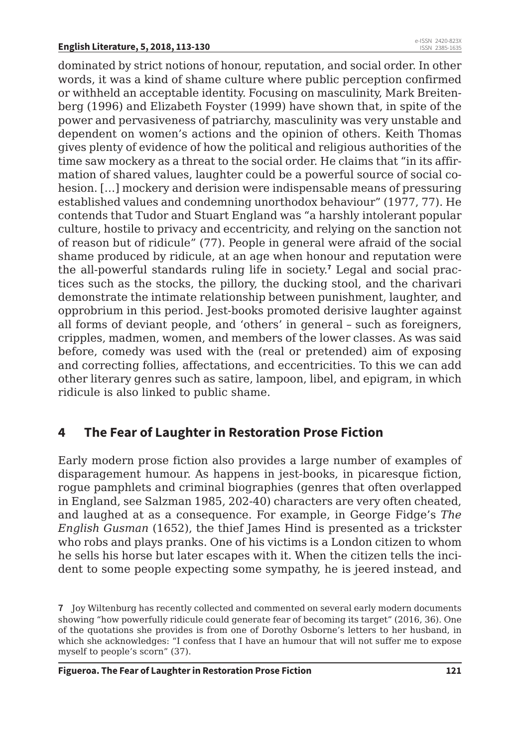dominated by strict notions of honour, reputation, and social order. In other words, it was a kind of shame culture where public perception confirmed or withheld an acceptable identity. Focusing on masculinity, Mark Breitenberg (1996) and Elizabeth Foyster (1999) have shown that, in spite of the power and pervasiveness of patriarchy, masculinity was very unstable and dependent on women's actions and the opinion of others. Keith Thomas gives plenty of evidence of how the political and religious authorities of the time saw mockery as a threat to the social order. He claims that "in its affirmation of shared values, laughter could be a powerful source of social cohesion. […] mockery and derision were indispensable means of pressuring established values and condemning unorthodox behaviour" (1977, 77). He contends that Tudor and Stuart England was "a harshly intolerant popular culture, hostile to privacy and eccentricity, and relying on the sanction not of reason but of ridicule" (77). People in general were afraid of the social shame produced by ridicule, at an age when honour and reputation were the all-powerful standards ruling life in society.**<sup>7</sup>** Legal and social practices such as the stocks, the pillory, the ducking stool, and the charivari demonstrate the intimate relationship between punishment, laughter, and opprobrium in this period. Jest-books promoted derisive laughter against all forms of deviant people, and 'others' in general – such as foreigners, cripples, madmen, women, and members of the lower classes. As was said before, comedy was used with the (real or pretended) aim of exposing and correcting follies, affectations, and eccentricities. To this we can add other literary genres such as satire, lampoon, libel, and epigram, in which ridicule is also linked to public shame.

#### **4 The Fear of Laughter in Restoration Prose Fiction**

Early modern prose fiction also provides a large number of examples of disparagement humour. As happens in jest-books, in picaresque fiction, rogue pamphlets and criminal biographies (genres that often overlapped in England, see Salzman 1985, 202-40) characters are very often cheated, and laughed at as a consequence. For example, in George Fidge's *The English Gusman* (1652), the thief James Hind is presented as a trickster who robs and plays pranks. One of his victims is a London citizen to whom he sells his horse but later escapes with it. When the citizen tells the incident to some people expecting some sympathy, he is jeered instead, and

**<sup>7</sup>** Joy Wiltenburg has recently collected and commented on several early modern documents showing "how powerfully ridicule could generate fear of becoming its target" (2016, 36). One of the quotations she provides is from one of Dorothy Osborne's letters to her husband, in which she acknowledges: "I confess that I have an humour that will not suffer me to expose myself to people's scorn" (37).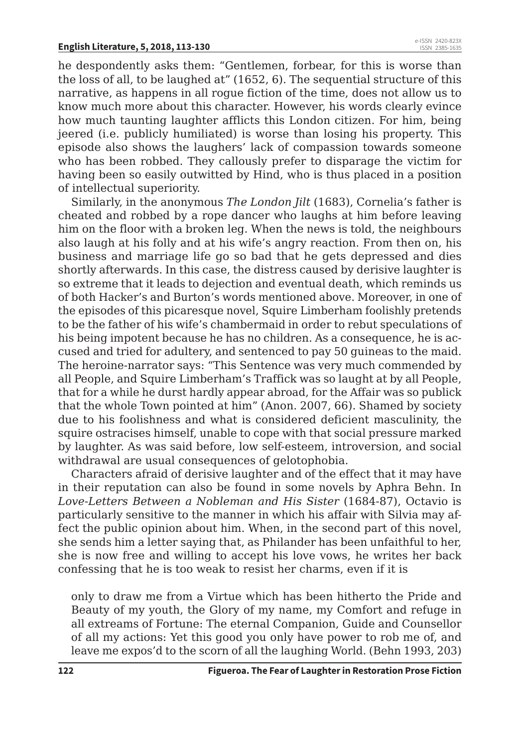he despondently asks them: "Gentlemen, forbear, for this is worse than the loss of all, to be laughed at" (1652, 6). The sequential structure of this narrative, as happens in all rogue fiction of the time, does not allow us to know much more about this character. However, his words clearly evince how much taunting laughter afflicts this London citizen. For him, being jeered (i.e. publicly humiliated) is worse than losing his property. This episode also shows the laughers' lack of compassion towards someone who has been robbed. They callously prefer to disparage the victim for having been so easily outwitted by Hind, who is thus placed in a position of intellectual superiority.

Similarly, in the anonymous *The London Jilt* (1683), Cornelia's father is cheated and robbed by a rope dancer who laughs at him before leaving him on the floor with a broken leg. When the news is told, the neighbours also laugh at his folly and at his wife's angry reaction. From then on, his business and marriage life go so bad that he gets depressed and dies shortly afterwards. In this case, the distress caused by derisive laughter is so extreme that it leads to dejection and eventual death, which reminds us of both Hacker's and Burton's words mentioned above. Moreover, in one of the episodes of this picaresque novel, Squire Limberham foolishly pretends to be the father of his wife's chambermaid in order to rebut speculations of his being impotent because he has no children. As a consequence, he is accused and tried for adultery, and sentenced to pay 50 guineas to the maid. The heroine-narrator says: "This Sentence was very much commended by all People, and Squire Limberham's Traffick was so laught at by all People, that for a while he durst hardly appear abroad, for the Affair was so publick that the whole Town pointed at him" (Anon. 2007, 66). Shamed by society due to his foolishness and what is considered deficient masculinity, the squire ostracises himself, unable to cope with that social pressure marked by laughter. As was said before, low self-esteem, introversion, and social withdrawal are usual consequences of gelotophobia.

Characters afraid of derisive laughter and of the effect that it may have in their reputation can also be found in some novels by Aphra Behn. In *Love-Letters Between a Nobleman and His Sister* (1684-87), Octavio is particularly sensitive to the manner in which his affair with Silvia may affect the public opinion about him. When, in the second part of this novel, she sends him a letter saying that, as Philander has been unfaithful to her, she is now free and willing to accept his love vows, he writes her back confessing that he is too weak to resist her charms, even if it is

only to draw me from a Virtue which has been hitherto the Pride and Beauty of my youth, the Glory of my name, my Comfort and refuge in all extreams of Fortune: The eternal Companion, Guide and Counsellor of all my actions: Yet this good you only have power to rob me of, and leave me expos'd to the scorn of all the laughing World. (Behn 1993, 203)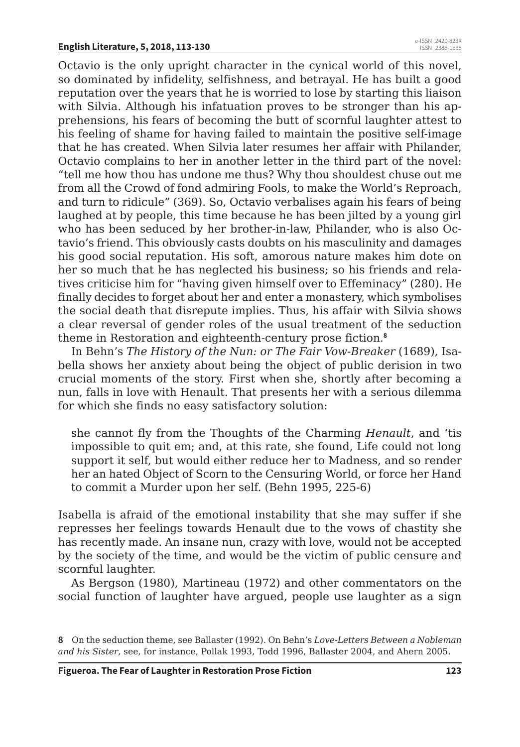Octavio is the only upright character in the cynical world of this novel, so dominated by infidelity, selfishness, and betrayal. He has built a good reputation over the years that he is worried to lose by starting this liaison with Silvia. Although his infatuation proves to be stronger than his apprehensions, his fears of becoming the butt of scornful laughter attest to his feeling of shame for having failed to maintain the positive self-image that he has created. When Silvia later resumes her affair with Philander, Octavio complains to her in another letter in the third part of the novel: "tell me how thou has undone me thus? Why thou shouldest chuse out me from all the Crowd of fond admiring Fools, to make the World's Reproach, and turn to ridicule" (369). So, Octavio verbalises again his fears of being laughed at by people, this time because he has been jilted by a young girl who has been seduced by her brother-in-law, Philander, who is also Octavio's friend. This obviously casts doubts on his masculinity and damages his good social reputation. His soft, amorous nature makes him dote on her so much that he has neglected his business; so his friends and relatives criticise him for "having given himself over to Effeminacy" (280). He finally decides to forget about her and enter a monastery, which symbolises the social death that disrepute implies. Thus, his affair with Silvia shows a clear reversal of gender roles of the usual treatment of the seduction theme in Restoration and eighteenth-century prose fiction.**<sup>8</sup>**

In Behn's *The History of the Nun: or The Fair Vow-Breaker* (1689), Isabella shows her anxiety about being the object of public derision in two crucial moments of the story. First when she, shortly after becoming a nun, falls in love with Henault. That presents her with a serious dilemma for which she finds no easy satisfactory solution:

she cannot fly from the Thoughts of the Charming *Henault*, and 'tis impossible to quit em; and, at this rate, she found, Life could not long support it self, but would either reduce her to Madness, and so render her an hated Object of Scorn to the Censuring World, or force her Hand to commit a Murder upon her self. (Behn 1995, 225-6)

Isabella is afraid of the emotional instability that she may suffer if she represses her feelings towards Henault due to the vows of chastity she has recently made. An insane nun, crazy with love, would not be accepted by the society of the time, and would be the victim of public censure and scornful laughter.

As Bergson (1980), Martineau (1972) and other commentators on the social function of laughter have argued, people use laughter as a sign

**<sup>8</sup>** On the seduction theme, see Ballaster (1992). On Behn's *Love-Letters Between a Nobleman and his Sister*, see, for instance, Pollak 1993, Todd 1996, Ballaster 2004, and Ahern 2005.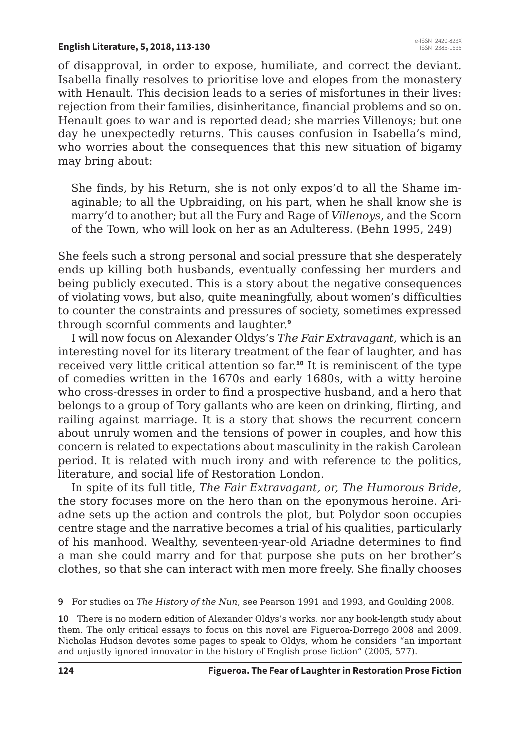of disapproval, in order to expose, humiliate, and correct the deviant. Isabella finally resolves to prioritise love and elopes from the monastery with Henault. This decision leads to a series of misfortunes in their lives: rejection from their families, disinheritance, financial problems and so on. Henault goes to war and is reported dead; she marries Villenoys; but one day he unexpectedly returns. This causes confusion in Isabella's mind, who worries about the consequences that this new situation of bigamy may bring about:

She finds, by his Return, she is not only expos'd to all the Shame imaginable; to all the Upbraiding, on his part, when he shall know she is marry'd to another; but all the Fury and Rage of *Villenoys*, and the Scorn of the Town, who will look on her as an Adulteress. (Behn 1995, 249)

She feels such a strong personal and social pressure that she desperately ends up killing both husbands, eventually confessing her murders and being publicly executed. This is a story about the negative consequences of violating vows, but also, quite meaningfully, about women's difficulties to counter the constraints and pressures of society, sometimes expressed through scornful comments and laughter.**<sup>9</sup>**

I will now focus on Alexander Oldys's *The Fair Extravagant*, which is an interesting novel for its literary treatment of the fear of laughter, and has received very little critical attention so far.**<sup>10</sup>** It is reminiscent of the type of comedies written in the 1670s and early 1680s, with a witty heroine who cross-dresses in order to find a prospective husband, and a hero that belongs to a group of Tory gallants who are keen on drinking, flirting, and railing against marriage. It is a story that shows the recurrent concern about unruly women and the tensions of power in couples, and how this concern is related to expectations about masculinity in the rakish Carolean period. It is related with much irony and with reference to the politics, literature, and social life of Restoration London.

In spite of its full title, *The Fair Extravagant, or, The Humorous Bride*, the story focuses more on the hero than on the eponymous heroine. Ariadne sets up the action and controls the plot, but Polydor soon occupies centre stage and the narrative becomes a trial of his qualities, particularly of his manhood. Wealthy, seventeen-year-old Ariadne determines to find a man she could marry and for that purpose she puts on her brother's clothes, so that she can interact with men more freely. She finally chooses

**9** For studies on *The History of the Nun*, see Pearson 1991 and 1993, and Goulding 2008.

**10** There is no modern edition of Alexander Oldys's works, nor any book-length study about them. The only critical essays to focus on this novel are Figueroa-Dorrego 2008 and 2009. Nicholas Hudson devotes some pages to speak to Oldys, whom he considers "an important and unjustly ignored innovator in the history of English prose fiction" (2005, 577).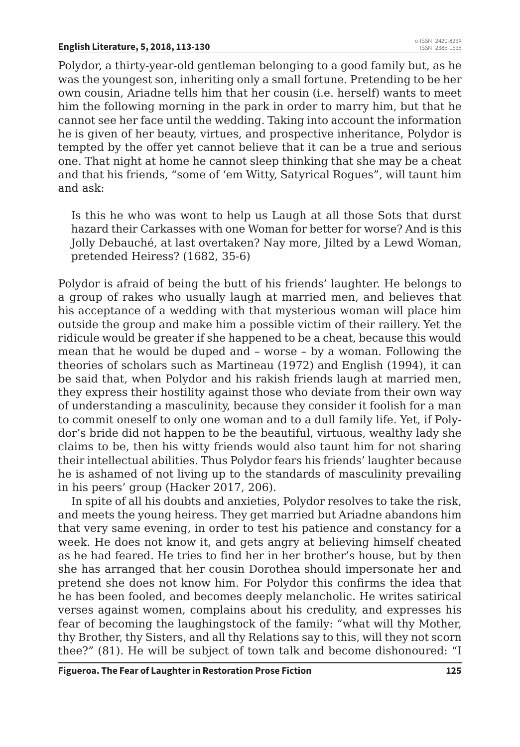Polydor, a thirty-year-old gentleman belonging to a good family but, as he was the youngest son, inheriting only a small fortune. Pretending to be her own cousin, Ariadne tells him that her cousin (i.e. herself) wants to meet him the following morning in the park in order to marry him, but that he cannot see her face until the wedding. Taking into account the information he is given of her beauty, virtues, and prospective inheritance, Polydor is tempted by the offer yet cannot believe that it can be a true and serious one. That night at home he cannot sleep thinking that she may be a cheat and that his friends, "some of 'em Witty, Satyrical Rogues", will taunt him and ask:

Is this he who was wont to help us Laugh at all those Sots that durst hazard their Carkasses with one Woman for better for worse? And is this Jolly Debauché, at last overtaken? Nay more, Jilted by a Lewd Woman, pretended Heiress? (1682, 35-6)

Polydor is afraid of being the butt of his friends' laughter. He belongs to a group of rakes who usually laugh at married men, and believes that his acceptance of a wedding with that mysterious woman will place him outside the group and make him a possible victim of their raillery. Yet the ridicule would be greater if she happened to be a cheat, because this would mean that he would be duped and – worse – by a woman. Following the theories of scholars such as Martineau (1972) and English (1994), it can be said that, when Polydor and his rakish friends laugh at married men, they express their hostility against those who deviate from their own way of understanding a masculinity, because they consider it foolish for a man to commit oneself to only one woman and to a dull family life. Yet, if Polydor's bride did not happen to be the beautiful, virtuous, wealthy lady she claims to be, then his witty friends would also taunt him for not sharing their intellectual abilities. Thus Polydor fears his friends' laughter because he is ashamed of not living up to the standards of masculinity prevailing in his peers' group (Hacker 2017, 206).

In spite of all his doubts and anxieties, Polydor resolves to take the risk, and meets the young heiress. They get married but Ariadne abandons him that very same evening, in order to test his patience and constancy for a week. He does not know it, and gets angry at believing himself cheated as he had feared. He tries to find her in her brother's house, but by then she has arranged that her cousin Dorothea should impersonate her and pretend she does not know him. For Polydor this confirms the idea that he has been fooled, and becomes deeply melancholic. He writes satirical verses against women, complains about his credulity, and expresses his fear of becoming the laughingstock of the family: "what will thy Mother, thy Brother, thy Sisters, and all thy Relations say to this, will they not scorn thee?" (81). He will be subject of town talk and become dishonoured: "I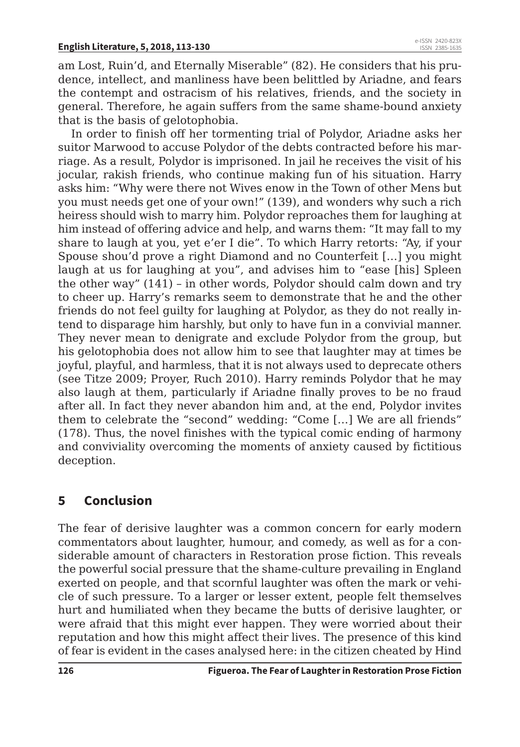am Lost, Ruin'd, and Eternally Miserable" (82). He considers that his prudence, intellect, and manliness have been belittled by Ariadne, and fears the contempt and ostracism of his relatives, friends, and the society in general. Therefore, he again suffers from the same shame-bound anxiety that is the basis of gelotophobia.

In order to finish off her tormenting trial of Polydor, Ariadne asks her suitor Marwood to accuse Polydor of the debts contracted before his marriage. As a result, Polydor is imprisoned. In jail he receives the visit of his jocular, rakish friends, who continue making fun of his situation. Harry asks him: "Why were there not Wives enow in the Town of other Mens but you must needs get one of your own!" (139), and wonders why such a rich heiress should wish to marry him. Polydor reproaches them for laughing at him instead of offering advice and help, and warns them: "It may fall to my share to laugh at you, yet e'er I die". To which Harry retorts: "Ay, if your Spouse shou'd prove a right Diamond and no Counterfeit […] you might laugh at us for laughing at you", and advises him to "ease [his] Spleen the other way" (141) – in other words, Polydor should calm down and try to cheer up. Harry's remarks seem to demonstrate that he and the other friends do not feel guilty for laughing at Polydor, as they do not really intend to disparage him harshly, but only to have fun in a convivial manner. They never mean to denigrate and exclude Polydor from the group, but his gelotophobia does not allow him to see that laughter may at times be joyful, playful, and harmless, that it is not always used to deprecate others (see Titze 2009; Proyer, Ruch 2010). Harry reminds Polydor that he may also laugh at them, particularly if Ariadne finally proves to be no fraud after all. In fact they never abandon him and, at the end, Polydor invites them to celebrate the "second" wedding: "Come […] We are all friends" (178). Thus, the novel finishes with the typical comic ending of harmony and conviviality overcoming the moments of anxiety caused by fictitious deception.

## **5 Conclusion**

The fear of derisive laughter was a common concern for early modern commentators about laughter, humour, and comedy, as well as for a considerable amount of characters in Restoration prose fiction. This reveals the powerful social pressure that the shame-culture prevailing in England exerted on people, and that scornful laughter was often the mark or vehicle of such pressure. To a larger or lesser extent, people felt themselves hurt and humiliated when they became the butts of derisive laughter, or were afraid that this might ever happen. They were worried about their reputation and how this might affect their lives. The presence of this kind of fear is evident in the cases analysed here: in the citizen cheated by Hind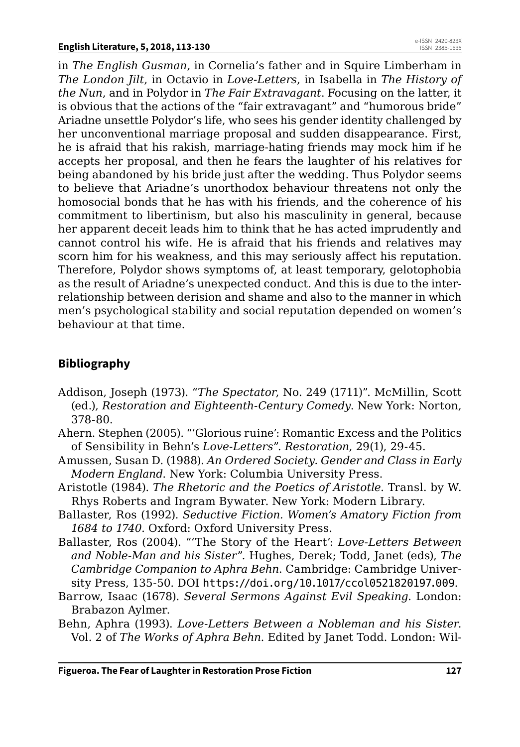in *The English Gusman*, in Cornelia's father and in Squire Limberham in *The London Jilt*, in Octavio in *Love-Letters*, in Isabella in *The History of the Nun*, and in Polydor in *The Fair Extravagant*. Focusing on the latter, it is obvious that the actions of the "fair extravagant" and "humorous bride" Ariadne unsettle Polydor's life, who sees his gender identity challenged by her unconventional marriage proposal and sudden disappearance. First, he is afraid that his rakish, marriage-hating friends may mock him if he accepts her proposal, and then he fears the laughter of his relatives for being abandoned by his bride just after the wedding. Thus Polydor seems to believe that Ariadne's unorthodox behaviour threatens not only the homosocial bonds that he has with his friends, and the coherence of his commitment to libertinism, but also his masculinity in general, because her apparent deceit leads him to think that he has acted imprudently and cannot control his wife. He is afraid that his friends and relatives may scorn him for his weakness, and this may seriously affect his reputation. Therefore, Polydor shows symptoms of, at least temporary, gelotophobia as the result of Ariadne's unexpected conduct. And this is due to the interrelationship between derision and shame and also to the manner in which men's psychological stability and social reputation depended on women's behaviour at that time.

#### **Bibliography**

- Addison, Joseph (1973). "*The Spectator*, No. 249 (1711)". McMillin, Scott (ed.), *Restoration and Eighteenth-Century Comedy*. New York: Norton, 378-80.
- Ahern. Stephen (2005). "'Glorious ruine': Romantic Excess and the Politics of Sensibility in Behn's *Love-Letters*". *Restoration*, 29(1), 29-45.
- Amussen, Susan D. (1988). *An Ordered Society. Gender and Class in Early Modern England*. New York: Columbia University Press.
- Aristotle (1984). *The Rhetoric and the Poetics of Aristotle*. Transl. by W. Rhys Roberts and Ingram Bywater. New York: Modern Library.
- Ballaster, Ros (1992). *Seductive Fiction. Women's Amatory Fiction from 1684 to 1740*. Oxford: Oxford University Press.
- Ballaster, Ros (2004). "'The Story of the Heart': *Love-Letters Between and Noble-Man and his Sister*". Hughes, Derek; Todd, Janet (eds), *The Cambridge Companion to Aphra Behn*. Cambridge: Cambridge University Press, 135-50. DOI https://doi.org/10.1017/ccol0521820197.009.
- Barrow, Isaac (1678). *Several Sermons Against Evil Speaking*. London: Brabazon Aylmer.
- Behn, Aphra (1993). *Love-Letters Between a Nobleman and his Sister*. Vol. 2 of *The Works of Aphra Behn*. Edited by Janet Todd. London: Wil-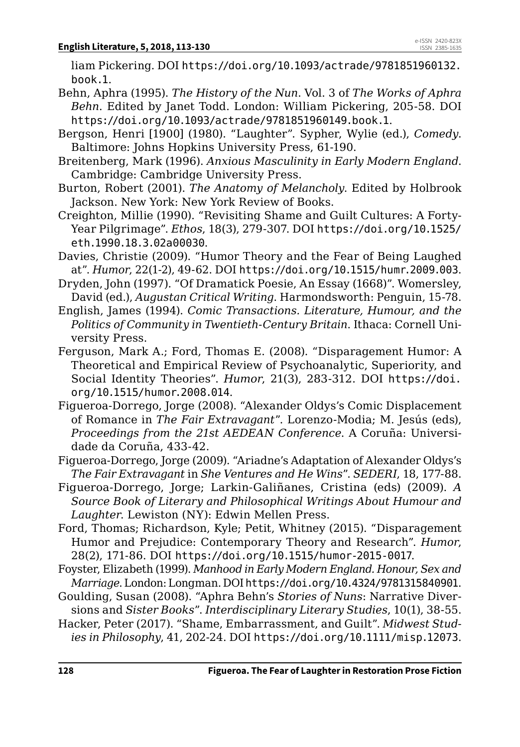liam Pickering. DOI https://doi.org/10.1093/actrade/9781851960132. book.1.

- Behn, Aphra (1995). *The History of the Nun*. Vol. 3 of *The Works of Aphra Behn*. Edited by Janet Todd. London: William Pickering, 205-58. DOI https://doi.org/10.1093/actrade/9781851960149.book.1.
- Bergson, Henri [1900] (1980). "Laughter". Sypher, Wylie (ed.), *Comedy*. Baltimore: Johns Hopkins University Press, 61-190.
- Breitenberg, Mark (1996). *Anxious Masculinity in Early Modern England*. Cambridge: Cambridge University Press.
- Burton, Robert (2001). *The Anatomy of Melancholy*. Edited by Holbrook Jackson. New York: New York Review of Books.
- Creighton, Millie (1990). "Revisiting Shame and Guilt Cultures: A Forty-Year Pilgrimage". *Ethos*, 18(3), 279-307. DOI https://doi.org/10.1525/ eth.1990.18.3.02a00030.
- Davies, Christie (2009). "Humor Theory and the Fear of Being Laughed at". *Humor*, 22(1-2), 49-62. DOI https://doi.org/10.1515/humr.2009.003.
- Dryden, John (1997). "Of Dramatick Poesie, An Essay (1668)". Womersley, David (ed.), *Augustan Critical Writing*. Harmondsworth: Penguin, 15-78.
- English, James (1994). *Comic Transactions. Literature, Humour, and the Politics of Community in Twentieth-Century Britain*. Ithaca: Cornell University Press.
- Ferguson, Mark A.; Ford, Thomas E. (2008). "Disparagement Humor: A Theoretical and Empirical Review of Psychoanalytic, Superiority, and Social Identity Theories". *Humor*, 21(3), 283-312. DOI https://doi. org/10.1515/humor.2008.014.
- Figueroa-Dorrego, Jorge (2008). "Alexander Oldys's Comic Displacement of Romance in *The Fair Extravagant*". Lorenzo-Modia; M. Jesús (eds), *Proceedings from the 21st AEDEAN Conference*. A Coruña: Universidade da Coruña, 433-42.
- Figueroa-Dorrego, Jorge (2009). "Ariadne's Adaptation of Alexander Oldys's *The Fair Extravagant* in *She Ventures and He Wins*". *SEDERI*, 18, 177-88.
- Figueroa-Dorrego, Jorge; Larkin-Galiñanes, Cristina (eds) (2009). *A Source Book of Literary and Philosophical Writings About Humour and Laughter*. Lewiston (NY): Edwin Mellen Press.
- Ford, Thomas; Richardson, Kyle; Petit, Whitney (2015). "Disparagement Humor and Prejudice: Contemporary Theory and Research". *Humor*, 28(2), 171-86. DOI https://doi.org/10.1515/humor-2015-0017.
- Foyster, Elizabeth (1999). *Manhood in Early Modern England. Honour, Sex and Marriage*. London: Longman. DOI https://doi.org/10.4324/9781315840901.
- Goulding, Susan (2008). "Aphra Behn's *Stories of Nuns*: Narrative Diversions and *Sister Books*". *Interdisciplinary Literary Studies*, 10(1), 38-55.
- Hacker, Peter (2017). "Shame, Embarrassment, and Guilt". *Midwest Studies in Philosophy*, 41, 202-24. DOI https://doi.org/10.1111/misp.12073.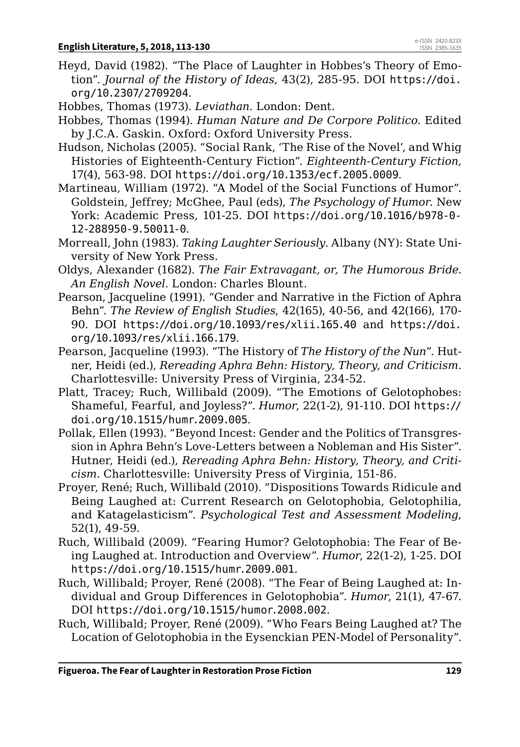- Heyd, David (1982). "The Place of Laughter in Hobbes's Theory of Emotion". *Journal of the History of Ideas*, 43(2), 285-95. DOI https://doi. org/10.2307/2709204.
- Hobbes, Thomas (1973). *Leviathan*. London: Dent.
- Hobbes, Thomas (1994). *Human Nature and De Corpore Politico*. Edited by J.C.A. Gaskin. Oxford: Oxford University Press.
- Hudson, Nicholas (2005). "Social Rank, 'The Rise of the Novel', and Whig Histories of Eighteenth-Century Fiction". *Eighteenth-Century Fiction*, 17(4), 563-98. DOI https://doi.org/10.1353/ecf.2005.0009.
- Martineau, William (1972). "A Model of the Social Functions of Humor". Goldstein, Jeffrey; McGhee, Paul (eds), *The Psychology of Humor*. New York: Academic Press, 101-25. DOI https://doi.org/10.1016/b978-0- 12-288950-9.50011-0.
- Morreall, John (1983). *Taking Laughter Seriously*. Albany (NY): State University of New York Press.
- Oldys, Alexander (1682). *The Fair Extravagant, or, The Humorous Bride. An English Novel*. London: Charles Blount.
- Pearson, Jacqueline (1991). "Gender and Narrative in the Fiction of Aphra Behn". *The Review of English Studies*, 42(165), 40-56, and 42(166), 170- 90. DOI https://doi.org/10.1093/res/xlii.165.40 and https://doi. org/10.1093/res/xlii.166.179.
- Pearson, Jacqueline (1993). "The History of *The History of the Nun*". Hutner, Heidi (ed.), *Rereading Aphra Behn: History, Theory, and Criticism*. Charlottesville: University Press of Virginia, 234-52.
- Platt, Tracey; Ruch, Willibald (2009). "The Emotions of Gelotophobes: Shameful, Fearful, and Joyless?". *Humor*, 22(1-2), 91-110. DOI https:// doi.org/10.1515/humr.2009.005.
- Pollak, Ellen (1993). "Beyond Incest: Gender and the Politics of Transgression in Aphra Behn's Love-Letters between a Nobleman and His Sister". Hutner, Heidi (ed.), *Rereading Aphra Behn: History, Theory, and Criticism*. Charlottesville: University Press of Virginia, 151-86.
- Proyer, René; Ruch, Willibald (2010). "Dispositions Towards Ridicule and Being Laughed at: Current Research on Gelotophobia, Gelotophilia, and Katagelasticism". *Psychological Test and Assessment Modeling*, 52(1), 49-59.
- Ruch, Willibald (2009). "Fearing Humor? Gelotophobia: The Fear of Being Laughed at. Introduction and Overview". *Humor*, 22(1-2), 1-25. DOI https://doi.org/10.1515/humr.2009.001.
- Ruch, Willibald; Proyer, René (2008). "The Fear of Being Laughed at: Individual and Group Differences in Gelotophobia". *Humor*, 21(1), 47-67. DOI https://doi.org/10.1515/humor.2008.002.
- Ruch, Willibald; Proyer, René (2009). "Who Fears Being Laughed at? The Location of Gelotophobia in the Eysenckian PEN-Model of Personality".